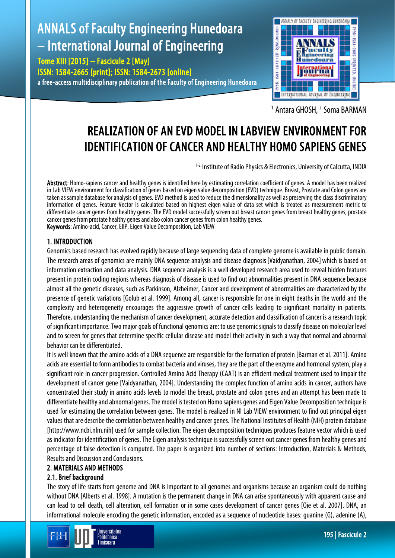# ANNALS of Faculty Engineering Hunedoara – International Journal of Engineering

Tome XIII [2015] – Fascicule 2 [May] ISSN: 1584-2665 [print]; ISSN: 1584-2673 [online] a free-access multidisciplinary publication of the Faculty of Engineering Hunedoara



<sup>1.</sup> Antara GHOSH, <sup>2.</sup> Soma BARMAN

## REALIZATION OF AN EVD MODEL IN LABVIEW ENVIRONMENT FOR IDENTIFICATION OF CANCER AND HEALTHY HOMO SAPIENS GENES

<sup>1-2</sup> Institute of Radio Physics & Electronics, University of Calcutta, INDIA

Abstract: Homo-sapiens cancer and healthy genes is identified here by estimating correlation coefficient of genes. A model has been realized in Lab VIEW environment for classification of genes based on eigen value decomposition (EVD) technique. Breast, Prostate and Colon genes are taken as sample database for analysis of genes. EVD method is used to reduce the dimensionality as well as preserving the class discriminatory information of genes. Feature Vector is calculated based on highest eigen value of data set which is treated as measurement metric to differentiate cancer genes from healthy genes. The EVD model successfully screen out breast cancer genes from breast healthy genes, prostate cancer genes from prostate healthy genes and also colon cancer genes from colon healthy genes. Keywords: Amino-acid, Cancer, EIIP, Eigen Value Decomposition, Lab VIEW

#### 1. INTRODUCTION

Genomics based research has evolved rapidly because of large sequencing data of complete genome is available in public domain. The research areas of genomics are mainly DNA sequence analysis and disease diagnosis [Vaidyanathan, 2004] which is based on information extraction and data analysis. DNA sequence analysis is a well developed research area used to reveal hidden features present in protein coding regions whereas diagnosis of disease is used to find out abnormalities present in DNA sequence because almost all the genetic diseases, such as Parkinson, Alzheimer, Cancer and development of abnormalities are characterized by the presence of genetic variations [Golub et al. 1999]. Among all, cancer is responsible for one in eight deaths in the world and the complexity and heterogeneity encourages the aggressive growth of cancer cells leading to significant mortality in patients. Therefore, understanding the mechanism of cancer development, accurate detection and classification of cancer is a research topic of significant importance. Two major goals of functional genomics are: to use genomic signals to classify disease on molecular level and to screen for genes that determine specific cellular disease and model their activity in such a way that normal and abnormal behavior can be differentiated.

It is well known that the amino acids of a DNA sequence are responsible for the formation of protein [Barman et al. 2011]. Amino acids are essential to form antibodies to combat bacteria and viruses, they are the part of the enzyme and hormonal system, play a significant role in cancer progression. Controlled Amino Acid Therapy (CAAT) is an efficient medical treatment used to impair the development of cancer gene [Vaidyanathan, 2004]. Understanding the complex function of amino acids in cancer, authors have concentrated their study in amino acids levels to model the breast, prostate and colon genes and an attempt has been made to differentiate healthy and abnormal genes. The model is tested on Homo sapiens genes and Eigen Value Decomposition technique is used for estimating the correlation between genes. The model is realized in NI Lab VIEW environment to find out principal eigen values that are describe the correlation between healthy and cancer genes. The National Institutes of Health (NIH) protein database [http://www.ncbi.nlm.nih] used for sample collection. The eigen decomposition techniques produces feature vector which is used as indicator for identification of genes. The Eigen analysis technique is successfully screen out cancer genes from healthy genes and percentage of false detection is computed. The paper is organized into number of sections: Introduction, Materials & Methods, Results and Discussion and Conclusions.

### 2. MATERIALS AND METHODS

### 2.1. Brief background

The story of life starts from genome and DNA is important to all genomes and organisms because an organism could do nothing without DNA [Alberts et al. 1998]. A mutation is the permanent change in DNA can arise spontaneously with apparent cause and can lead to cell death, cell alteration, cell formation or in some cases development of cancer genes [Qie et al. 2007]. DNA, an informational molecule encoding the genetic information, encoded as a sequence of nucleotide bases: guanine (G), adenine (A),

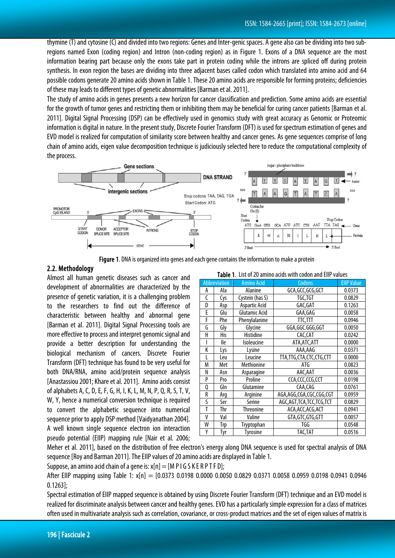thymine (T) and cytosine (C) and divided into two regions: Genes and Inter-genic spaces. A gene also can be dividing into two subregions named Exon (coding region) and Intron (non-coding region) as in Figure 1. Exons of a DNA sequence are the most information bearing part because only the exons take part in protein coding while the introns are spliced off during protein synthesis. In exon region the bases are dividing into three adjacent bases called codon which translated into amino acid and 64 possible codons generate 20 amino acids shown in Table 1. These 20 amino acids are responsible for forming proteins; deficiencies of these may leads to different types of genetic abnormalities [Barman et al. 2011].

The study of amino acids in genes presents a new horizon for cancer classification and prediction. Some amino acids are essential for the growth of tumor genes and restricting them or inhibiting them may be beneficial for curing cancer patients [Barman et al. 2011]. Digital Signal Processing (DSP) can be effectively used in genomics study with great accuracy as Genomic or Proteomic information is digital in nature. In the present study, Discrete Fourier Transform (DFT) is used for spectrum estimation of genes and EVD model is realized for computation of similarity score between healthy and cancer genes. As gene sequences comprise of long chain of amino acids, eigen value decomposition technique is judiciously selected here to reduce the computational complexityof the process.



Figure 1. DNA is organized into genes and each gene contains the information to make a protein

#### 2.2. Methodology

Almost all human genetic diseases such as cancer and development of abnormalities are characterized by the presence of genetic variation, it is a challenging problem to the researchers to find out the difference of characteristic between healthy and abnormal gene [Barman et al. 2011]. Digital Signal Processing tools are more effective to process and interpret genomic signal and provide a better description for understanding the biological mechanism of cancers. Discrete Fourier Transform (DFT) technique has found to be very useful for both DNA/RNA, amino acid/protein sequence analysis [Anastassiou2001; Khare et al. 2011]. Amino acids consist of alphabets A, C, D, E, F, G, H, I, K, L, M, N, P, Q, R, S, T, V, W, Y, hence a numerical conversion technique is required to convert the alphabetic sequence into numerical sequence prior to apply DSP method [Vaidyanathan 2004]. A well known single sequence electron ion interaction pseudo potential (EIIP) mapping rule [Nair et al. 2006;

|   | Table T. List of 20 annilo acius With Codon and Elif Values |                      |                         |                   |  |  |  |  |  |  |  |
|---|-------------------------------------------------------------|----------------------|-------------------------|-------------------|--|--|--|--|--|--|--|
|   | Abbreviation                                                | <b>Amino Acid</b>    | Codons                  | <b>EllP Value</b> |  |  |  |  |  |  |  |
| A | Ala                                                         | Alanine              | GCA,GCC,GCG,GCT         | 0.0373            |  |  |  |  |  |  |  |
| C | Cys                                                         | Cystein (has S)      | TGC,TGT                 | 0.0829            |  |  |  |  |  |  |  |
| D | Asp                                                         | <b>Aspartic Acid</b> | GAC, GAT                | 0.1263            |  |  |  |  |  |  |  |
| E | Glu                                                         | Glutamic Acid        | GAA, GAG                | 0.0058            |  |  |  |  |  |  |  |
| F | Phe                                                         | Phenylalanine        | TTC,TTT                 | 0.0946            |  |  |  |  |  |  |  |
| G | Gly                                                         | Glycine              | GGA, GGC. GGG, GGT      | 0.0050            |  |  |  |  |  |  |  |
| Н | <b>His</b>                                                  | Histidine            | CAC,CAT                 | 0.0242            |  |  |  |  |  |  |  |
| I | lle                                                         | Isoleucine           | ATA, ATC, ATT           | 0.0000            |  |  |  |  |  |  |  |
| K | Lys                                                         | Lysine               | AAA, AAG                | 0.0371            |  |  |  |  |  |  |  |
| I | Leu                                                         | Leucine              | TTA,TTG,CTA,CTC,CTG,CTT | 0.0000            |  |  |  |  |  |  |  |
| M | Met                                                         | Methionine           | ATG                     | 0.0823            |  |  |  |  |  |  |  |
| N | Asn                                                         | Asparagine           | AAC, AAT                | 0.0036            |  |  |  |  |  |  |  |
| P | Pro                                                         | Proline              | CCA,CCC,CCG,CCT         | 0.0198            |  |  |  |  |  |  |  |
| Q | Gln                                                         | Glutamine            | CAA,CAG                 | 0.0761            |  |  |  |  |  |  |  |
| R | Arg                                                         | Arginine             | AGA,AGG,CGA,CGC,CGG,CGT | 0.0959            |  |  |  |  |  |  |  |
| S | Ser                                                         | Serine               | AGC,AGT,TCA,TCC,TCG,TCT | 0.0829            |  |  |  |  |  |  |  |
| T | Thr                                                         | <b>Threonine</b>     | ACA,ACC,ACG,ACT         | 0.0941            |  |  |  |  |  |  |  |
| ٧ | Val                                                         | Valine               | GTA,GTC,GTG,GTT         | 0.0057            |  |  |  |  |  |  |  |
| W | Trp                                                         | Tryptophan           | TGG                     | 0.0548            |  |  |  |  |  |  |  |
| Y | <u>Tyr</u>                                                  | <b>Tyrosine</b>      | TAC,TAT                 |                   |  |  |  |  |  |  |  |

Table 1. List of 20 amino acids with codon and EIIP values

Meher et al. 2011], based on the distribution of free electron's energy along DNA sequence is used for spectral analysis of DNA sequence [Roy and Barman 2011]. The EIIP values of 20 amino acids are displayed in Table 1.

Suppose, an amino acid chain of a gene is:  $x[n] = [M P I G S K E R P T F D]$ ;

After EIIP mapping using Table 1: x[n] = [0.0373 0.0198 0.0000 0.0050 0.0829 0.0371 0.0058 0.0959 0.0198 0.0941 0.0946 0.1263];

Spectral estimation of EIIP mapped sequence is obtained by using Discrete Fourier Transform (DFT) technique and an EVD model is realized for discriminate analysis between cancer and healthy genes. EVD has a particularly simple expression for a class of matrices often used in multivariate analysis such as correlation, covariance, or cross-product matrices and the set of eigen values of matrix is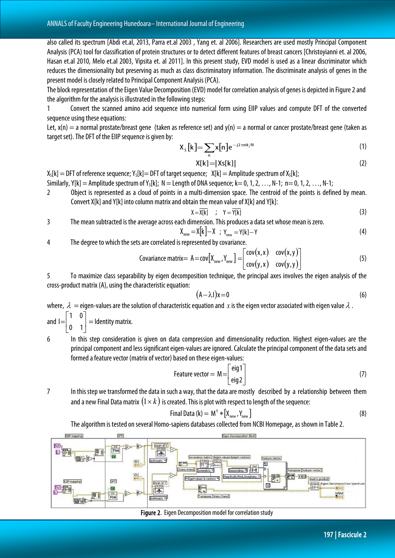also called its spectrum [Abdi et.al, 2013, Parra et.al 2003 , Yang et. al 2006]. Researchers are used mostly Principal Component Analysis (PCA) tool for classification of protein structures or to detect different features of breast cancers [Christoyianni et. al 2006, Hasan et.al 2010, Melo et.al 2003, Vipsita et. al 2011]. In this present study, EVD model is used as a linear discriminator which reduces the dimensionality but preserving as much as class discriminatory information. The discriminate analysis of genes in the present model is closely related to Principal Component Analysis (PCA).

The block representation of the Eigen Value Decomposition (EVD) model for correlation analysis of genes is depicted in Figure2 and the algorithm for the analysis is illustrated in the following steps:

1 Convert the scanned amino acid sequence into numerical form using EIIP values and compute DFT of the converted sequence using these equations:

Let,  $x(n) = a$  normal prostate/breast gene (taken as reference set) and  $y(n) = a$  normal or cancer prostate/breast gene (taken as target set). The DFT of the EIIP sequence is given by:

$$
X_{s}[k] = \sum_{n} x[n]e^{-j2\pi nk/N} \tag{1}
$$

$$
X[k] = |Xs[k]|
$$
 (2)

 $X_5[k] =$  DFT of reference sequence;  $Y_5[k] =$  DFT of target sequence;  $X[k] =$  Amplitude spectrum of  $X_5[k]$ ;

- Similarly, Y[k] = Amplitude spectrum of Y<sub>s</sub>[k]; N = Length of DNA sequence; k = 0, 1, 2, …, N-1; n = 0, 1, 2, …, N-1;
- 2 Object is represented as a cloud of points in a multi-dimension space. The centroid of the points is defined by mean. Convert X[k] and Y[k] into column matrix and obtain the mean value of X[k] and Y[k]:

$$
X = \overline{X[k]} \quad ; \quad Y = \overline{Y[k]} \tag{3}
$$

3 The mean subtracted is the average across each dimension. This produces a dataset whose mean is zero.

$$
X_{new} = X[k] - X ; Y_{new} = Y[k] - Y
$$
\n(4)

4 The degree to which the sets are correlated is represented by covariance.

$$
Covariance matrix = A = cov[Xnew, Ynew] = \begin{bmatrix} cov(x, x) & cov(x, y) \\ cov(y, x) & cov(y, y) \end{bmatrix}
$$
(5)

5 To maximize class separability by eigen decomposition technique, the principal axes involves the eigen analysis of the cross-product matrix (A), using the characteristic equation:

$$
(A - \lambda I)x = 0 \tag{6}
$$

where,  $\lambda =$  eigen-values are the solution of characteristic equation and x is the eigen vector associated with eigen value  $\lambda$ .

and  $I=$ J  $\begin{vmatrix} 1 & 0 \\ 0 & 1 \end{vmatrix}$ L  $=\begin{vmatrix} 1 & 0 \\ 0 & 1 \end{vmatrix}$ 1 0  $=$  Identity matrix.

6 In this step consideration is given on data compression and dimensionality reduction. Highest eigen-values are the principal component and less significant eigen-values areignored. Calculate the principal component of the data sets and formed a feature vector (matrix of vector) based on these eigen-values:

$$
Feature vector = M = \begin{bmatrix} eig1 \\ eig2 \end{bmatrix}
$$
 (7)

7 In this step we transformed the data in such a way, that the data are mostly described by a relationship between them and a new Final Data matrix  $(1 \times k)$  is created. This is plot with respect to length of the sequence:

$$
Final Data (k) = MY * [Xnew, Ynew]
$$
 (8)

The algorithm is tested on several Homo-sapiens databases collected from NCBI Homepage, as shown in Table 2.



Figure 2. Eigen Decomposition model for correlation study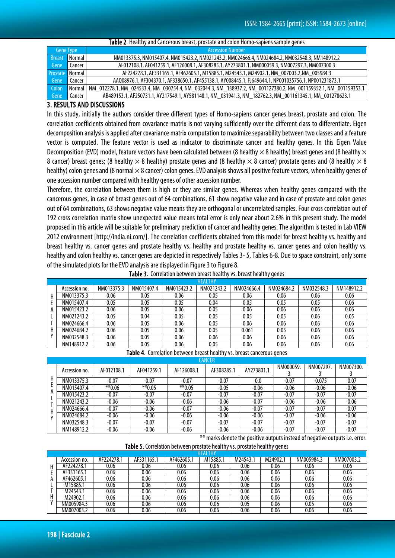|                        | Table 2. Healthy and Cancerous breast, prostate and colon Homo-sapiens sample genes |                                                                                                                 |  |  |  |  |  |  |  |  |
|------------------------|-------------------------------------------------------------------------------------|-----------------------------------------------------------------------------------------------------------------|--|--|--|--|--|--|--|--|
| <b>Gene Type</b>       |                                                                                     | <b>Accession Number</b>                                                                                         |  |  |  |  |  |  |  |  |
| <b>Breast</b>          | Normal                                                                              | NM013375.3, NM015407.4, NM015423.2, NM021243.2, NM024666.4, NM024684.2, NM032548.3, NM148912.2                  |  |  |  |  |  |  |  |  |
| Gene                   | l Cancer                                                                            | AF012108.1, AF041259.1, AF126008.1, AF308285.1, AY273801.1, NM000059.3, NM007297.3, NM007300.3                  |  |  |  |  |  |  |  |  |
| <b>Prostate</b> Normal |                                                                                     | AF224278.1, AF331165.1, AF462605.1, M15885.1, M24543.1, M24902.1, NM 007003.2, NM 005984.3                      |  |  |  |  |  |  |  |  |
| Gene                   | Cancer                                                                              | AAQ08976.1, AF304370.1, AF338650.1, AF455138.1, AY008445.1, FJ649644.1, NP001035756.1, NP001231873.1            |  |  |  |  |  |  |  |  |
| Colon                  | Normal                                                                              | NM_012278.1, NM_024533.4, NM_030754.4, NM_032044.3, NM_138937.2, NM_001127380.2, NM_001159352.1, NM_001159353.1 |  |  |  |  |  |  |  |  |
| Gene                   | Cancer                                                                              | AB489153.1, AF250731.1, AY217549.1, AY581148.1, NM_031941.3, NM_182762.3, NM_001161345.1, NM_001278623.1        |  |  |  |  |  |  |  |  |

#### 3. RESULTS AND DISCUSSIONS

In this study, initially the authors consider three different types of Homo-sapiens cancer genes breast, prostate and colon. The correlation coefficients obtained from covariance matrix is not varying sufficiently over the different class to differentiate. Eigen decomposition analysis is applied after covariance matrix computation to maximize separability between two classes and a feature vector is computed. The feature vector is used as indicator to discriminate cancer and healthy genes. In this Eigen Value Decomposition (EVD) model, feature vectors have been calculated between (8 healthy  $\times$  8 healthy) breast genes and (8 healthy  $\times$ 8 cancer) breast genes; (8 healthy  $\times$  8 healthy) prostate genes and (8 healthy  $\times$  8 cancer) prostate genes and (8 healthy  $\times$  8 healthy) colon genes and (8 normal  $\times$  8 cancer) colon genes. EVD analysis shows all positive feature vectors, when healthy genes of one accession number compared with healthy genes of other accession number.

Therefore, the correlation between them is high or they are similar genes. Whereas when healthy genes compared with the cancerous genes, in case of breast genes out of 64 combinations, 61 show negative value and in case of prostate and colon genes out of 64 combinations, 63 shows negative value means they are orthogonal or uncorrelated samples. Four cross correlation out of 192 cross correlation matrix show unexpected value means total error is only near about 2.6% in this present study. The model proposed in this article will be suitable for preliminary prediction of cancer and healthy genes. The algorithm is tested in Lab VIEW 2012 environment [http://india.ni.com/]. The correlation coefficients obtained from this model for breast healthy vs. healthy and breast healthy vs. cancer genes and prostate healthy vs. healthy and prostate healthy vs. cancer genes and colon healthy vs. healthy and colon healthy vs. cancer genes are depicted in respectively Tables 3-5, Tables 6-8. Due to space constraint, only some of the simulated plots for the EVD analysis are displayed in Figure 3 to Figure 8.

|               |            |            |            | <b>HEALTHY</b> |            | . .        |            |            |
|---------------|------------|------------|------------|----------------|------------|------------|------------|------------|
| Accession no. | NM013375.3 | NM015407.4 | NM015423.2 | NM021243.2     | NM024666.4 | NM024684.2 | NM032548.3 | NM148912.2 |
| NM013375.3    | 0.06       | 0.05       | 0.06       | 0.05           | 0.06       | 0.06       | 0.06       | 0.06       |
| NM015407.4    | 0.05       | 0.05       | 0.05       | 0.04           | 0.05       | 0.05       | 0.05       | 0.06       |
| NM015423.2    | 0.06       | 0.05       | 0.06       | 0.05           | 0.06       | 0.06       | 0.06       | 0.06       |
| NM021243.2    | 0.05       | 0.04       | 0.05       | 0.05           | 0.05       | 0.05       | 0.06       | 0.05       |
| NM024666.4    | 0.06       | 0.05       | 0.06       | 0.05           | 0.06       | 0.06       | 0.06       | 0.06       |
| NM024684.2    | 0.06       | 0.05       | 0.06       | 0.05           | 0.061      | 0.05       | 0.06       | 0.06       |
| NM032548.3    | 0.06       | 0.05       | 0.06       | 0.06           | 0.06       | 0.06       | 0.06       | 0.06       |
| NM148912.2    | 0.06       | 0.05       | 0.06       | 0.05           | 0.06       | 0.06       | 0.06       | 0.06       |

Table 3. Correlation between breast healthy vs. breast healthy genes

Table 4. Correlation between breast healthy vs. breast cancerous genes

|        | <b>CANCER</b> |            |            |            |            |            |           |          |           |  |  |  |
|--------|---------------|------------|------------|------------|------------|------------|-----------|----------|-----------|--|--|--|
|        | Accession no. | AF012108.1 | AF041259.1 | AF126008.1 | AF308285.1 | AY273801.1 | NM000059. | NM007297 | NM007300. |  |  |  |
| Н<br>A | NM013375.3    | $-0.07$    | $-0.07$    | $-0.07$    | $-0.07$    | $-0.0$     | $-0.07$   | $-0.075$ | $-0.07$   |  |  |  |
|        | NM015407.4    | $*$ *0.06  | $**0.05$   | $**0.05$   | $-0.05$    | $-0.06$    | $-0.06$   | $-0.06$  | $-0.06$   |  |  |  |
|        | NM015423.2    | $-0.07$    | $-0.07$    | $-0.07$    | $-0.07$    | $-0.07$    | $-0.07$   | $-0.07$  | $-0.07$   |  |  |  |
|        | NM021243.2    | $-0.06$    | $-0.06$    | $-0.06$    | $-0.06$    | $-0.07$    | $-0.06$   | $-0.06$  | $-0.06$   |  |  |  |
|        | NM024666.4    | $-0.07$    | $-0.06$    | $-0.07$    | $-0.06$    | $-0.07$    | $-0.07$   | $-0.07$  | $-0.07$   |  |  |  |
|        | NM024684.2    | $-0.06$    | $-0.06$    | $-0.06$    | $-0.06$    | $-0.06$    | $-0.07$   | $-0.06$  | $-0.06$   |  |  |  |
|        | NM032548.3    | $-0.07$    | $-0.07$    | $-0.07$    | $-0.07$    | $-0.07$    | $-0.07$   | $-0.07$  | $-0.07$   |  |  |  |
|        | NM148912.2    | $-0.06$    | $-0.06$    | $-0.06$    | $-0.06$    | $-0.06$    | $-0.07$   | $-0.07$  | $-0.07$   |  |  |  |

\*\* marks denote the positive outputs instead of negative outputs i.e. error.

Table 5. Correlation between prostate healthy vs. prostate healthy genes

|            |            |         |        | THY<br>HEAL |           |           |           |               |  |
|------------|------------|---------|--------|-------------|-----------|-----------|-----------|---------------|--|
| NM007003.2 | NM005984.3 | M24902. | M24543 | M15885.1    | AF462605. | AF331165. | AF224278. | Accession no. |  |
| 0.06       | 0.06       | 0.06    | 0.06   | 0.06        | 0.06      | 0.06      | 0.06      | AF224278.1    |  |
| 0.06       | 0.06       | 0.06    | 0.06   | 0.06        | 0.06      | 0.06      | 0.06      | AF331165.1    |  |
| 0.06       | 0.06       | 0.06    | 0.06   | 0.06        | 0.06      | 0.06      | 0.06      | AF462605.     |  |
| 0.06       | 0.06       | 0.06    | 0.06   | 0.06        | 0.06      | 0.06      | 0.06      | M15885.1      |  |
| 0.06       | 0.06       | 0.06    | 0.06   | 0.06        | 0.06      | 0.06      | 0.06      | M24543.1      |  |
| 0.06       | 0.06       | 0.06    | 0.06   | 0.06        | 0.06      | 0.06      | 0.06      | M24902.1      |  |
| 0.06       | 0.05       | 0.06    | 0.05   | 0.06        | 0.06      | 0.06      | 0.06      | NM005984.3    |  |
| 0.06       | 0.06       | 0.06    | 0.06   | 0.06        | 0.06      | 0.06      | 0.06      | NM007003.2    |  |
|            |            |         |        |             |           |           |           |               |  |

l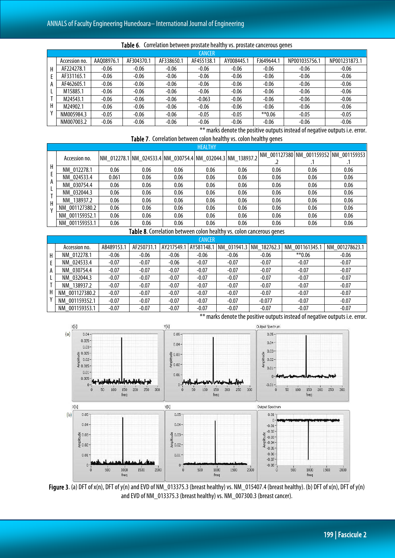|              |               |            |            |            | <b>CANCER</b> |            |            |               |               |
|--------------|---------------|------------|------------|------------|---------------|------------|------------|---------------|---------------|
|              | Accession no. | AA008976.1 | AF304370.1 | AF338650.1 | AF455138.1    | AY008445.1 | FJ649644.1 | NP001035756.1 | NP001231873.1 |
| H.           | AF224278.1    | $-0.06$    | $-0.06$    | $-0.06$    | $-0.06$       | $-0.06$    | $-0.06$    | $-0.06$       | $-0.06$       |
|              | AF331165.1    | $-0.06$    | $-0.06$    | $-0.06$    | $-0.06$       | $-0.06$    | $-0.06$    | $-0.06$       | $-0.06$       |
| $\mathsf{A}$ | AF462605.1    | $-0.06$    | $-0.06$    | $-0.06$    | $-0.06$       | $-0.06$    | $-0.06$    | $-0.06$       | $-0.06$       |
|              | M15885.1      | $-0.06$    | $-0.06$    | $-0.06$    | $-0.06$       | $-0.06$    | $-0.06$    | $-0.06$       | $-0.06$       |
|              | M24543.1      | $-0.06$    | $-0.06$    | $-0.06$    | $-0.063$      | $-0.06$    | $-0.06$    | $-0.06$       | $-0.06$       |
| H            | M24902.1      | $-0.06$    | $-0.06$    | $-0.06$    | $-0.06$       | $-0.06$    | $-0.06$    | $-0.06$       | $-0.06$       |
|              | NM005984.3    | $-0.05$    | $-0.06$    | $-0.06$    | $-0.05$       | $-0.05$    | $*$ 0.06   | $-0.05$       | $-0.05$       |
|              | NM007003.2    | $-0.06$    | $-0.06$    | $-0.06$    | $-0.06$       | $-0.06$    | $-0.06$    | $-0.06$       | $-0.06$       |

#### j Table 6. Correlation between prostate healthy vs. prostate cancerous genes

\*\* marks denote the positive outputs instead of negative outputs i.e. error. Table 7. Correlation between colon healthy vs. colon healthy genes

|   | <b>HEALTHY</b>                                      |       |      |                                                             |      |      |      |      |                                        |  |  |  |
|---|-----------------------------------------------------|-------|------|-------------------------------------------------------------|------|------|------|------|----------------------------------------|--|--|--|
|   | Accession no.                                       |       |      | NM 012278.1 NM 024533.4 NM 030754.4 NM 032044.3 NM 138937.2 |      |      |      |      | NM 001127380 NM 001159352 NM 001159353 |  |  |  |
|   |                                                     |       |      |                                                             |      |      |      |      | $\cdot$ I                              |  |  |  |
| H | NM 012278.1                                         | 0.06  | 0.06 | 0.06                                                        | 0.06 | 0.06 | 0.06 | 0.06 | 0.06                                   |  |  |  |
|   | NM 024533.4                                         | 0.061 | 0.06 | 0.06                                                        | 0.06 | 0.06 | 0.06 | 0.06 | 0.06                                   |  |  |  |
| A | NM 030754.4                                         | 0.06  | 0.06 | 0.06                                                        | 0.06 | 0.06 | 0.06 | 0.06 | 0.06                                   |  |  |  |
|   | NM 032044.3                                         | 0.06  | 0.06 | 0.06                                                        | 0.06 | 0.06 | 0.06 | 0.06 | 0.06                                   |  |  |  |
| н | NM 138937.2                                         | 0.06  | 0.06 | 0.06                                                        | 0.06 | 0.06 | 0.06 | 0.06 | 0.06                                   |  |  |  |
|   | NM 001127380.2                                      | 0.06  | 0.06 | 0.06                                                        | 0.06 | 0.06 | 0.06 | 0.06 | 0.06                                   |  |  |  |
|   | NM 001159352.1                                      | 0.06  | 0.06 | 0.06                                                        | 0.06 | 0.06 | 0.06 | 0.06 | 0.06                                   |  |  |  |
|   | NM 001159353.1                                      | 0.06  | 0.06 | 0.06                                                        | 0.06 | 0.06 | 0.06 | 0.06 | 0.06                                   |  |  |  |
|   | .<br>$\mathbf{1}$ and $\mathbf{1}$ and $\mathbf{1}$ |       |      |                                                             |      |      |      |      |                                        |  |  |  |

Table 8. Correlation between colon healthy vs. colon cancerous genes

|    |                |            |            |         | <b>CANCER</b> |         |          |                                                                      |                |
|----|----------------|------------|------------|---------|---------------|---------|----------|----------------------------------------------------------------------|----------------|
|    | Accession no.  | AB489153.1 | AF250731.1 |         |               |         |          | AY217549.1   AY581148.1   NM 031941.3   NM 182762.3   NM 001161345.1 | NM 001278623.1 |
| H  | NM 012278.1    | $-0.06$    | $-0.06$    | $-0.06$ | $-0.06$       | $-0.06$ | $-0.06$  | $*$ $*$ 0.06                                                         | $-0.06$        |
|    | NM 024533.4    | $-0.07$    | $-0.07$    | $-0.06$ | $-0.07$       | $-0.07$ | $-0.07$  | $-0.07$                                                              | $-0.07$        |
| A  | NM 030754.4    | $-0.07$    | $-0.07$    | $-0.07$ | $-0.07$       | $-0.07$ | $-0.07$  | $-0.07$                                                              | $-0.07$        |
|    | NM 032044.3    | $-0.07$    | $-0.07$    | $-0.07$ | $-0.07$       | $-0.07$ | $-0.07$  | $-0.07$                                                              | $-0.07$        |
|    | NM 138937.2    | $-0.07$    | $-0.07$    | $-0.07$ | $-0.07$       | $-0.07$ | $-0.07$  | $-0.07$                                                              | $-0.07$        |
| H. | NM 001127380.2 | $-0.07$    | $-0.07$    | $-0.07$ | $-0.07$       | $-0.07$ | $-0.07$  | $-0.07$                                                              | $-0.07$        |
|    | NM 001159352.1 | $-0.07$    | $-0.07$    | $-0.07$ | $-0.07$       | $-0.07$ | $-0.077$ | $-0.07$                                                              | $-0.07$        |
|    | NM 001159353.1 | $-0.07$    | $-0.07$    | $-0.07$ | $-0.07$       | $-0.07$ | $-0.07$  | $-0.07$                                                              | $-0.07$        |



\*\* marks denote the positive outputs instead of negative outputs i.e. error.

Figure 3. (a) DFT of x(n), DFT of y(n) and EVD of NM\_013375.3 (breast healthy) vs. NM\_015407.4 (breast healthy). (b) DFT of x(n), DFT of y(n) and EVD of NM\_013375.3 (breast healthy) vs. NM\_007300.3 (breast cancer).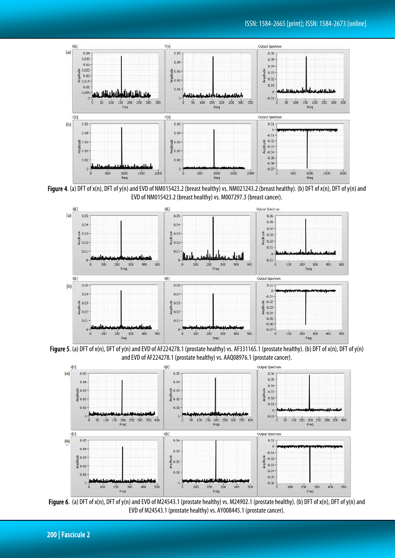

Figure 4. (a) DFT of x(n), DFT of y(n) and EVD of NM015423.2 (breast healthy) vs. NM021243.2 (breast healthy). (b) DFT of x(n), DFT of y(n) and EVD of NM015423.2 (breast healthy) vs. M007297.3 (breast cancer).



Figure 5. (a) DFT of x(n), DFT of y(n) and EVD of AF224278.1 (prostate healthy) vs. AF331165.1 (prostate healthy). (b) DFT of x(n), DFT of y(n) and EVD of AF224278.1 (prostate healthy) vs. AAQ08976.1 (prostate cancer).



Figure 6. (a) DFT of x(n), DFT of y(n) and EVD of M24543.1 (prostate healthy) vs. M24902.1 (prostate healthy). (b) DFT of x(n), DFT of y(n) and EVD of M24543.1 (prostate healthy) vs. AY008445.1 (prostate cancer).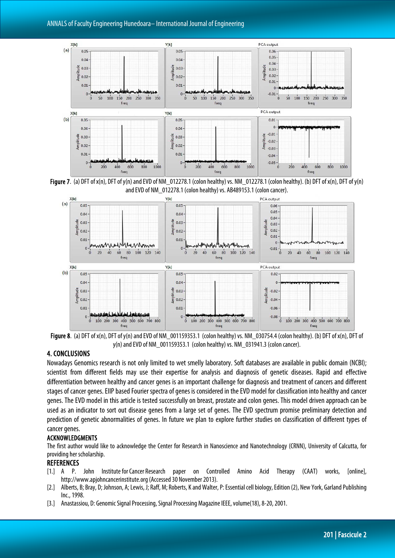

Figure 7. (a) DFT of  $x(n)$ , DFT of  $y(n)$  and EVD of NM 012278.1 (colon healthy) vs. NM 012278.1 (colon healthy). (b) DFT of  $x(n)$ , DFT of  $y(n)$ and EVD of NM\_012278.1 (colon healthy) vs. AB489153.1 (colon cancer).



y(n) and EVD of NM\_001159353.1 (colon healthy) vs. NM\_031941.3 (colon cancer).

#### 4. CONCLUSIONS

Nowadays Genomics research is not only limited to wet smelly laboratory. Soft databases are available in public domain (NCBI); scientist from different fields may use their expertise for analysis and diagnosis of genetic diseases. Rapid and effective differentiation between healthy and cancer genes is an important challenge for diagnosis and treatment of cancers and different stages of cancer genes. EIIP based Fourier spectra of genes is considered in the EVD model for classification into healthy and cancer genes. The EVD model in this article is tested successfully on breast, prostate and colon genes. This model driven approach can be used as an indicator to sort out disease genes from a large set of genes. The EVD spectrum promise preliminary detection and prediction of genetic abnormalities of genes. In future we plan to explore further studies on classification of different types of cancer genes.

#### ACKNOWLEDGMENTS

The first author would like to acknowledge the Center for Research in Nanoscience and Nanotechnology (CRNN), University of Calcutta, for providing her scholarship.

#### REFERENCES

- [1.] A P. John InstituteforCancer Research paper on Controlled Amino Acid Therapy (CAAT) works, [online], http://www.apjohncancerinstitute.org (Accessed 30 November 2013).
- [2.] Alberts, B; Bray, D; Johnson, A; Lewis, J; Raff, M; Roberts, K and Walter, P: Essential cell biology, Edition (2), New York, Garland Publishing Inc., 1998.
- [3.] Anastassiou, D: Genomic Signal Processing, Signal Processing Magazine IEEE, volume(18), 8-20, 2001.